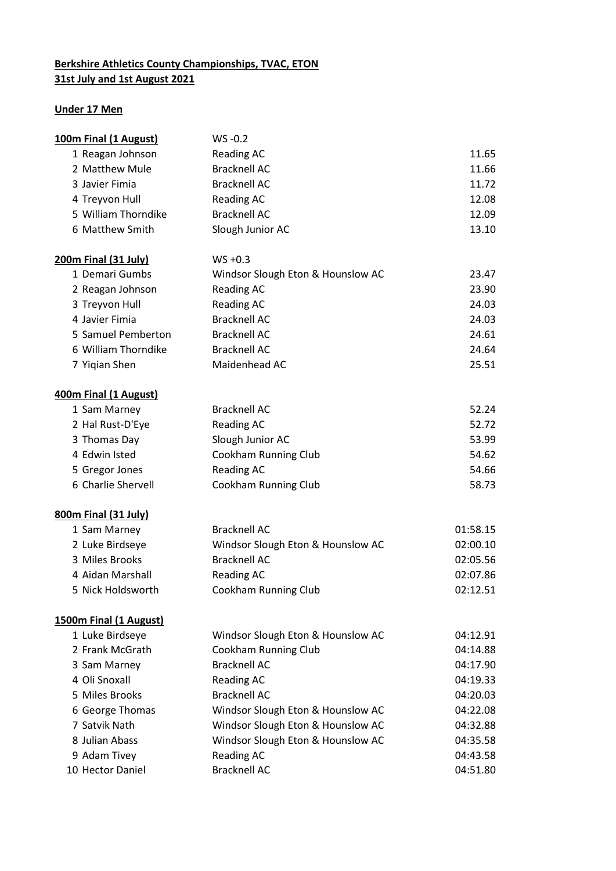## **Berkshire Athletics County Championships, TVAC, ETON 31st July and 1st August 2021**

## **Under 17 Men**

| 100m Final (1 August)         | $WS - 0.2$                        |          |
|-------------------------------|-----------------------------------|----------|
| 1 Reagan Johnson              | <b>Reading AC</b>                 | 11.65    |
| 2 Matthew Mule                | <b>Bracknell AC</b>               | 11.66    |
| 3 Javier Fimia                | <b>Bracknell AC</b>               | 11.72    |
| 4 Treyvon Hull                | <b>Reading AC</b>                 | 12.08    |
| 5 William Thorndike           | <b>Bracknell AC</b>               | 12.09    |
| 6 Matthew Smith               | Slough Junior AC                  | 13.10    |
| <u>200m Final (31 July)</u>   | $WS + 0.3$                        |          |
| 1 Demari Gumbs                | Windsor Slough Eton & Hounslow AC | 23.47    |
| 2 Reagan Johnson              | <b>Reading AC</b>                 | 23.90    |
| 3 Treyvon Hull                | <b>Reading AC</b>                 | 24.03    |
| 4 Javier Fimia                | <b>Bracknell AC</b>               | 24.03    |
| 5 Samuel Pemberton            | <b>Bracknell AC</b>               | 24.61    |
| 6 William Thorndike           | <b>Bracknell AC</b>               | 24.64    |
| 7 Yiqian Shen                 | Maidenhead AC                     | 25.51    |
| 400m Final (1 August)         |                                   |          |
| 1 Sam Marney                  | <b>Bracknell AC</b>               | 52.24    |
| 2 Hal Rust-D'Eye              | <b>Reading AC</b>                 | 52.72    |
| 3 Thomas Day                  | Slough Junior AC                  | 53.99    |
| 4 Edwin Isted                 | Cookham Running Club              | 54.62    |
| 5 Gregor Jones                | <b>Reading AC</b>                 | 54.66    |
| 6 Charlie Shervell            | Cookham Running Club              | 58.73    |
| 800m Final (31 July)          |                                   |          |
| 1 Sam Marney                  | <b>Bracknell AC</b>               | 01:58.15 |
| 2 Luke Birdseye               | Windsor Slough Eton & Hounslow AC | 02:00.10 |
| 3 Miles Brooks                | <b>Bracknell AC</b>               | 02:05.56 |
| 4 Aidan Marshall              | Reading AC                        | 02:07.86 |
| 5 Nick Holdsworth             | Cookham Running Club              | 02:12.51 |
| <b>1500m Final (1 August)</b> |                                   |          |
| 1 Luke Birdseye               | Windsor Slough Eton & Hounslow AC | 04:12.91 |
| 2 Frank McGrath               | Cookham Running Club              | 04:14.88 |
| 3 Sam Marney                  | <b>Bracknell AC</b>               | 04:17.90 |
| 4 Oli Snoxall                 | Reading AC                        | 04:19.33 |
| 5 Miles Brooks                | <b>Bracknell AC</b>               | 04:20.03 |
| 6 George Thomas               | Windsor Slough Eton & Hounslow AC | 04:22.08 |
| 7 Satvik Nath                 | Windsor Slough Eton & Hounslow AC | 04:32.88 |
| 8 Julian Abass                | Windsor Slough Eton & Hounslow AC | 04:35.58 |
| 9 Adam Tivey                  | <b>Reading AC</b>                 | 04:43.58 |
| 10 Hector Daniel              | <b>Bracknell AC</b>               | 04:51.80 |
|                               |                                   |          |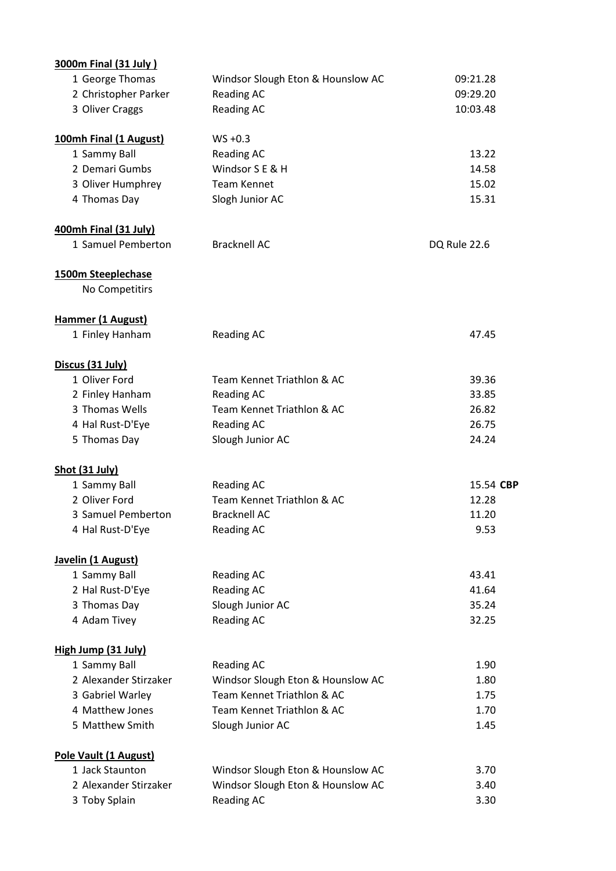| <b>3000m Final (31 July)</b> |                                   |              |
|------------------------------|-----------------------------------|--------------|
| 1 George Thomas              | Windsor Slough Eton & Hounslow AC | 09:21.28     |
| 2 Christopher Parker         | <b>Reading AC</b>                 | 09:29.20     |
| 3 Oliver Craggs              | <b>Reading AC</b>                 | 10:03.48     |
| 100mh Final (1 August)       | $WS + 0.3$                        |              |
| 1 Sammy Ball                 | <b>Reading AC</b>                 | 13.22        |
| 2 Demari Gumbs               | Windsor S E & H                   | 14.58        |
| 3 Oliver Humphrey            | <b>Team Kennet</b>                | 15.02        |
| 4 Thomas Day                 | Slogh Junior AC                   | 15.31        |
| 400mh Final (31 July)        |                                   |              |
| 1 Samuel Pemberton           | <b>Bracknell AC</b>               | DQ Rule 22.6 |
| 1500m Steeplechase           |                                   |              |
| No Competitirs               |                                   |              |
| Hammer (1 August)            |                                   |              |
| 1 Finley Hanham              | <b>Reading AC</b>                 | 47.45        |
| Discus (31 July)             |                                   |              |
| 1 Oliver Ford                | Team Kennet Triathlon & AC        | 39.36        |
| 2 Finley Hanham              | <b>Reading AC</b>                 | 33.85        |
| 3 Thomas Wells               | Team Kennet Triathlon & AC        | 26.82        |
| 4 Hal Rust-D'Eye             | <b>Reading AC</b>                 | 26.75        |
| 5 Thomas Day                 | Slough Junior AC                  | 24.24        |
| Shot (31 July)               |                                   |              |
| 1 Sammy Ball                 | <b>Reading AC</b>                 | 15.54 CBP    |
| 2 Oliver Ford                | Team Kennet Triathlon & AC        | 12.28        |
| 3 Samuel Pemberton           | <b>Bracknell AC</b>               | 11.20        |
| 4 Hal Rust-D'Eye             | <b>Reading AC</b>                 | 9.53         |
| Javelin (1 August)           |                                   |              |
| 1 Sammy Ball                 | <b>Reading AC</b>                 | 43.41        |
| 2 Hal Rust-D'Eye             | <b>Reading AC</b>                 | 41.64        |
| 3 Thomas Day                 | Slough Junior AC                  | 35.24        |
| 4 Adam Tivey                 | <b>Reading AC</b>                 | 32.25        |
| High Jump (31 July)          |                                   |              |
| 1 Sammy Ball                 | <b>Reading AC</b>                 | 1.90         |
| 2 Alexander Stirzaker        | Windsor Slough Eton & Hounslow AC | 1.80         |
| 3 Gabriel Warley             | Team Kennet Triathlon & AC        | 1.75         |
| 4 Matthew Jones              | Team Kennet Triathlon & AC        | 1.70         |
| 5 Matthew Smith              | Slough Junior AC                  | 1.45         |
| Pole Vault (1 August)        |                                   |              |
| 1 Jack Staunton              | Windsor Slough Eton & Hounslow AC | 3.70         |
| 2 Alexander Stirzaker        | Windsor Slough Eton & Hounslow AC | 3.40         |
| 3 Toby Splain                | <b>Reading AC</b>                 | 3.30         |